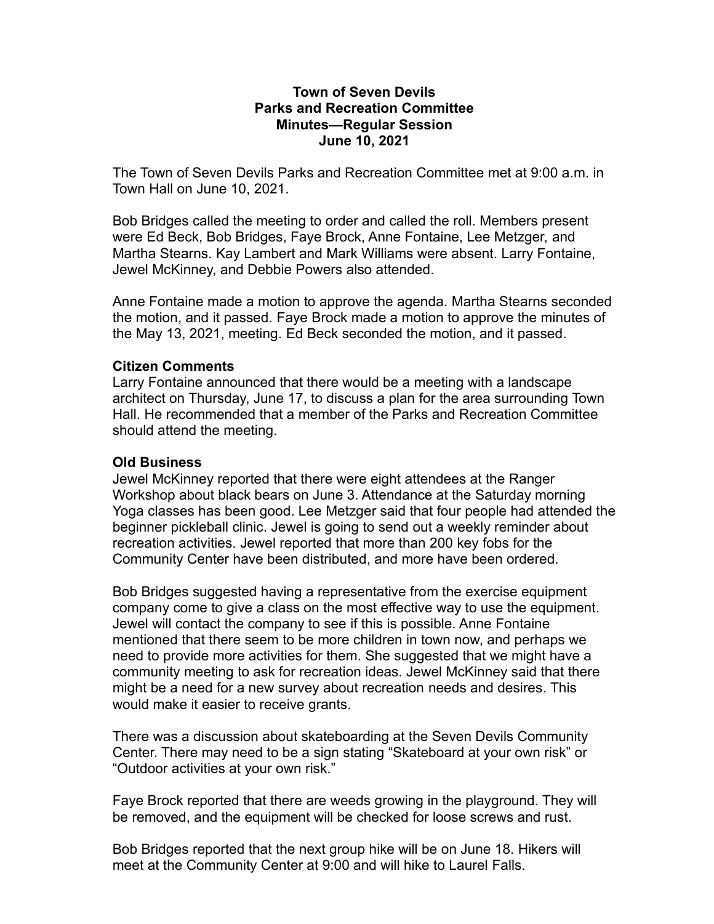## **Town of Seven Devils Parks and Recreation Committee Minutes—Regular Session June 10, 2021**

The Town of Seven Devils Parks and Recreation Committee met at 9:00 a.m. in Town Hall on June 10, 2021.

Bob Bridges called the meeting to order and called the roll. Members present were Ed Beck, Bob Bridges, Faye Brock, Anne Fontaine, Lee Metzger, and Martha Stearns. Kay Lambert and Mark Williams were absent. Larry Fontaine, Jewel McKinney, and Debbie Powers also attended.

Anne Fontaine made a motion to approve the agenda. Martha Stearns seconded the motion, and it passed. Faye Brock made a motion to approve the minutes of the May 13, 2021, meeting. Ed Beck seconded the motion, and it passed.

## **Citizen Comments**

Larry Fontaine announced that there would be a meeting with a landscape architect on Thursday, June 17, to discuss a plan for the area surrounding Town Hall. He recommended that a member of the Parks and Recreation Committee should attend the meeting.

## **Old Business**

Jewel McKinney reported that there were eight attendees at the Ranger Workshop about black bears on June 3. Attendance at the Saturday morning Yoga classes has been good. Lee Metzger said that four people had attended the beginner pickleball clinic. Jewel is going to send out a weekly reminder about recreation activities. Jewel reported that more than 200 key fobs for the Community Center have been distributed, and more have been ordered.

Bob Bridges suggested having a representative from the exercise equipment company come to give a class on the most effective way to use the equipment. Jewel will contact the company to see if this is possible. Anne Fontaine mentioned that there seem to be more children in town now, and perhaps we need to provide more activities for them. She suggested that we might have a community meeting to ask for recreation ideas. Jewel McKinney said that there might be a need for a new survey about recreation needs and desires. This would make it easier to receive grants.

There was a discussion about skateboarding at the Seven Devils Community Center. There may need to be a sign stating "Skateboard at your own risk" or "Outdoor activities at your own risk."

Faye Brock reported that there are weeds growing in the playground. They will be removed, and the equipment will be checked for loose screws and rust.

Bob Bridges reported that the next group hike will be on June 18. Hikers will meet at the Community Center at 9:00 and will hike to Laurel Falls.